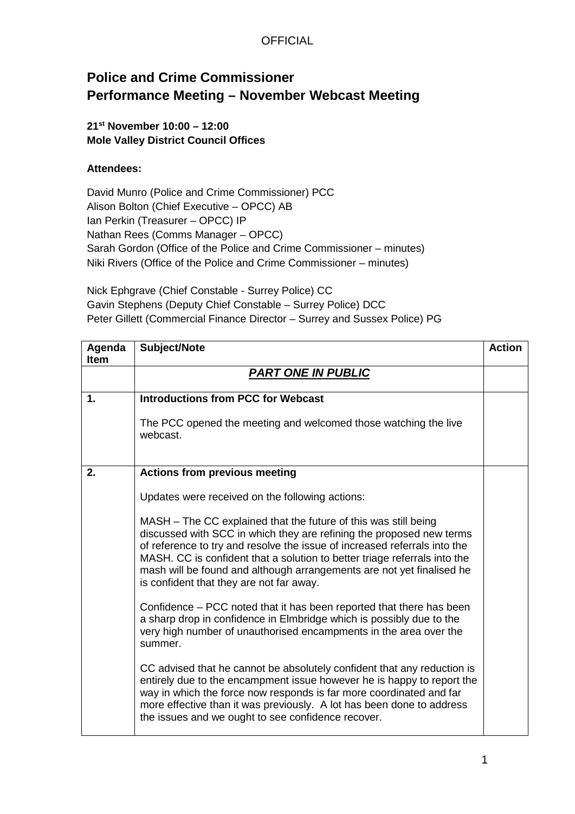### **Police and Crime Commissioner Performance Meeting – November Webcast Meeting**

#### **21st November 10:00 – 12:00 Mole Valley District Council Offices**

#### **Attendees:**

David Munro (Police and Crime Commissioner) PCC Alison Bolton (Chief Executive – OPCC) AB Ian Perkin (Treasurer – OPCC) IP Nathan Rees (Comms Manager – OPCC) Sarah Gordon (Office of the Police and Crime Commissioner – minutes) Niki Rivers (Office of the Police and Crime Commissioner – minutes)

Nick Ephgrave (Chief Constable - Surrey Police) CC Gavin Stephens (Deputy Chief Constable – Surrey Police) DCC Peter Gillett (Commercial Finance Director – Surrey and Sussex Police) PG

| Agenda      | Subject/Note                                                                                                                                                                                                                                                                                                                                                                                                           | <b>Action</b> |
|-------------|------------------------------------------------------------------------------------------------------------------------------------------------------------------------------------------------------------------------------------------------------------------------------------------------------------------------------------------------------------------------------------------------------------------------|---------------|
| <b>Item</b> |                                                                                                                                                                                                                                                                                                                                                                                                                        |               |
|             | <b>PART ONE IN PUBLIC</b>                                                                                                                                                                                                                                                                                                                                                                                              |               |
|             |                                                                                                                                                                                                                                                                                                                                                                                                                        |               |
| 1.          | <b>Introductions from PCC for Webcast</b>                                                                                                                                                                                                                                                                                                                                                                              |               |
|             | The PCC opened the meeting and welcomed those watching the live<br>webcast.                                                                                                                                                                                                                                                                                                                                            |               |
| 2.          | <b>Actions from previous meeting</b>                                                                                                                                                                                                                                                                                                                                                                                   |               |
|             | Updates were received on the following actions:                                                                                                                                                                                                                                                                                                                                                                        |               |
|             | MASH - The CC explained that the future of this was still being<br>discussed with SCC in which they are refining the proposed new terms<br>of reference to try and resolve the issue of increased referrals into the<br>MASH. CC is confident that a solution to better triage referrals into the<br>mash will be found and although arrangements are not yet finalised he<br>is confident that they are not far away. |               |
|             | Confidence – PCC noted that it has been reported that there has been<br>a sharp drop in confidence in Elmbridge which is possibly due to the<br>very high number of unauthorised encampments in the area over the<br>summer.                                                                                                                                                                                           |               |
|             | CC advised that he cannot be absolutely confident that any reduction is<br>entirely due to the encampment issue however he is happy to report the<br>way in which the force now responds is far more coordinated and far<br>more effective than it was previously. A lot has been done to address<br>the issues and we ought to see confidence recover.                                                                |               |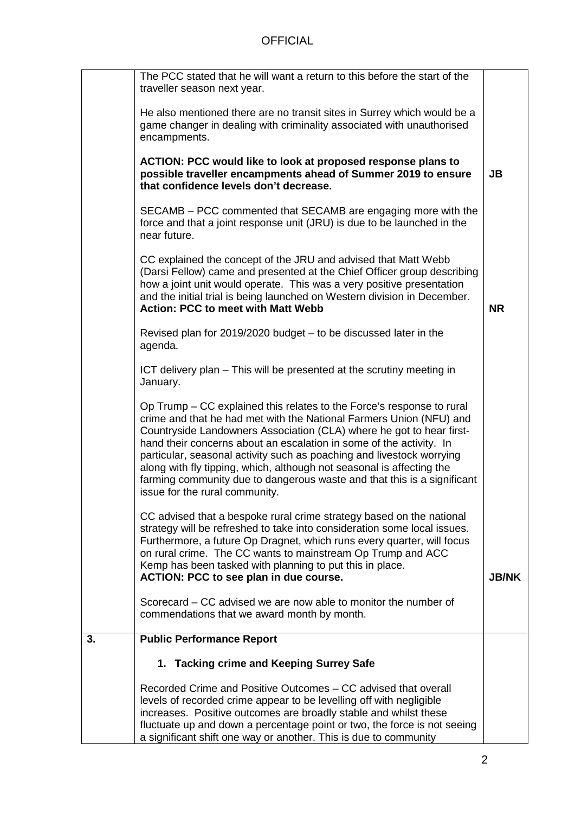|    | The PCC stated that he will want a return to this before the start of the<br>traveller season next year.                                                                                                                                                                                                                                                                                                                                                                                                                                                   |              |
|----|------------------------------------------------------------------------------------------------------------------------------------------------------------------------------------------------------------------------------------------------------------------------------------------------------------------------------------------------------------------------------------------------------------------------------------------------------------------------------------------------------------------------------------------------------------|--------------|
|    | He also mentioned there are no transit sites in Surrey which would be a<br>game changer in dealing with criminality associated with unauthorised<br>encampments.                                                                                                                                                                                                                                                                                                                                                                                           |              |
|    | ACTION: PCC would like to look at proposed response plans to<br>possible traveller encampments ahead of Summer 2019 to ensure<br>that confidence levels don't decrease.                                                                                                                                                                                                                                                                                                                                                                                    | <b>JB</b>    |
|    | SECAMB – PCC commented that SECAMB are engaging more with the<br>force and that a joint response unit (JRU) is due to be launched in the<br>near future.                                                                                                                                                                                                                                                                                                                                                                                                   |              |
|    | CC explained the concept of the JRU and advised that Matt Webb<br>(Darsi Fellow) came and presented at the Chief Officer group describing<br>how a joint unit would operate. This was a very positive presentation<br>and the initial trial is being launched on Western division in December.<br><b>Action: PCC to meet with Matt Webb</b>                                                                                                                                                                                                                | <b>NR</b>    |
|    | Revised plan for 2019/2020 budget - to be discussed later in the<br>agenda.                                                                                                                                                                                                                                                                                                                                                                                                                                                                                |              |
|    | ICT delivery plan – This will be presented at the scrutiny meeting in<br>January.                                                                                                                                                                                                                                                                                                                                                                                                                                                                          |              |
|    | Op Trump – CC explained this relates to the Force's response to rural<br>crime and that he had met with the National Farmers Union (NFU) and<br>Countryside Landowners Association (CLA) where he got to hear first-<br>hand their concerns about an escalation in some of the activity. In<br>particular, seasonal activity such as poaching and livestock worrying<br>along with fly tipping, which, although not seasonal is affecting the<br>farming community due to dangerous waste and that this is a significant<br>issue for the rural community. |              |
|    | CC advised that a bespoke rural crime strategy based on the national<br>strategy will be refreshed to take into consideration some local issues.<br>Furthermore, a future Op Dragnet, which runs every quarter, will focus<br>on rural crime. The CC wants to mainstream Op Trump and ACC<br>Kemp has been tasked with planning to put this in place.<br>ACTION: PCC to see plan in due course.                                                                                                                                                            | <b>JB/NK</b> |
|    | Scorecard – CC advised we are now able to monitor the number of<br>commendations that we award month by month.                                                                                                                                                                                                                                                                                                                                                                                                                                             |              |
| 3. | <b>Public Performance Report</b>                                                                                                                                                                                                                                                                                                                                                                                                                                                                                                                           |              |
|    | 1. Tacking crime and Keeping Surrey Safe                                                                                                                                                                                                                                                                                                                                                                                                                                                                                                                   |              |
|    | Recorded Crime and Positive Outcomes – CC advised that overall<br>levels of recorded crime appear to be levelling off with negligible<br>increases. Positive outcomes are broadly stable and whilst these<br>fluctuate up and down a percentage point or two, the force is not seeing<br>a significant shift one way or another. This is due to community                                                                                                                                                                                                  |              |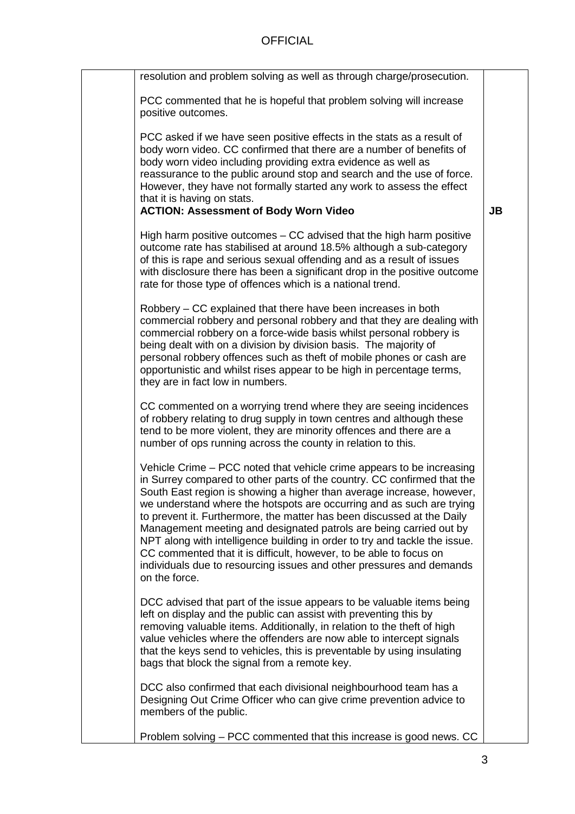| resolution and problem solving as well as through charge/prosecution.                                                                                                                                                                                                                                                                                                                                                                                                                                                                                                                                                                                                                           |           |
|-------------------------------------------------------------------------------------------------------------------------------------------------------------------------------------------------------------------------------------------------------------------------------------------------------------------------------------------------------------------------------------------------------------------------------------------------------------------------------------------------------------------------------------------------------------------------------------------------------------------------------------------------------------------------------------------------|-----------|
| PCC commented that he is hopeful that problem solving will increase<br>positive outcomes.                                                                                                                                                                                                                                                                                                                                                                                                                                                                                                                                                                                                       |           |
| PCC asked if we have seen positive effects in the stats as a result of<br>body worn video. CC confirmed that there are a number of benefits of<br>body worn video including providing extra evidence as well as<br>reassurance to the public around stop and search and the use of force.<br>However, they have not formally started any work to assess the effect<br>that it is having on stats.<br><b>ACTION: Assessment of Body Worn Video</b>                                                                                                                                                                                                                                               | <b>JB</b> |
| High harm positive outcomes $-$ CC advised that the high harm positive<br>outcome rate has stabilised at around 18.5% although a sub-category<br>of this is rape and serious sexual offending and as a result of issues<br>with disclosure there has been a significant drop in the positive outcome<br>rate for those type of offences which is a national trend.                                                                                                                                                                                                                                                                                                                              |           |
| Robbery – CC explained that there have been increases in both<br>commercial robbery and personal robbery and that they are dealing with<br>commercial robbery on a force-wide basis whilst personal robbery is<br>being dealt with on a division by division basis. The majority of<br>personal robbery offences such as theft of mobile phones or cash are<br>opportunistic and whilst rises appear to be high in percentage terms,<br>they are in fact low in numbers.                                                                                                                                                                                                                        |           |
| CC commented on a worrying trend where they are seeing incidences<br>of robbery relating to drug supply in town centres and although these<br>tend to be more violent, they are minority offences and there are a<br>number of ops running across the county in relation to this.                                                                                                                                                                                                                                                                                                                                                                                                               |           |
| Vehicle Crime – PCC noted that vehicle crime appears to be increasing<br>in Surrey compared to other parts of the country. CC confirmed that the<br>South East region is showing a higher than average increase, however,<br>we understand where the hotspots are occurring and as such are trying<br>to prevent it. Furthermore, the matter has been discussed at the Daily<br>Management meeting and designated patrols are being carried out by<br>NPT along with intelligence building in order to try and tackle the issue.<br>CC commented that it is difficult, however, to be able to focus on<br>individuals due to resourcing issues and other pressures and demands<br>on the force. |           |
| DCC advised that part of the issue appears to be valuable items being<br>left on display and the public can assist with preventing this by<br>removing valuable items. Additionally, in relation to the theft of high<br>value vehicles where the offenders are now able to intercept signals<br>that the keys send to vehicles, this is preventable by using insulating<br>bags that block the signal from a remote key.                                                                                                                                                                                                                                                                       |           |
| DCC also confirmed that each divisional neighbourhood team has a<br>Designing Out Crime Officer who can give crime prevention advice to<br>members of the public.                                                                                                                                                                                                                                                                                                                                                                                                                                                                                                                               |           |
| Problem solving - PCC commented that this increase is good news. CC                                                                                                                                                                                                                                                                                                                                                                                                                                                                                                                                                                                                                             |           |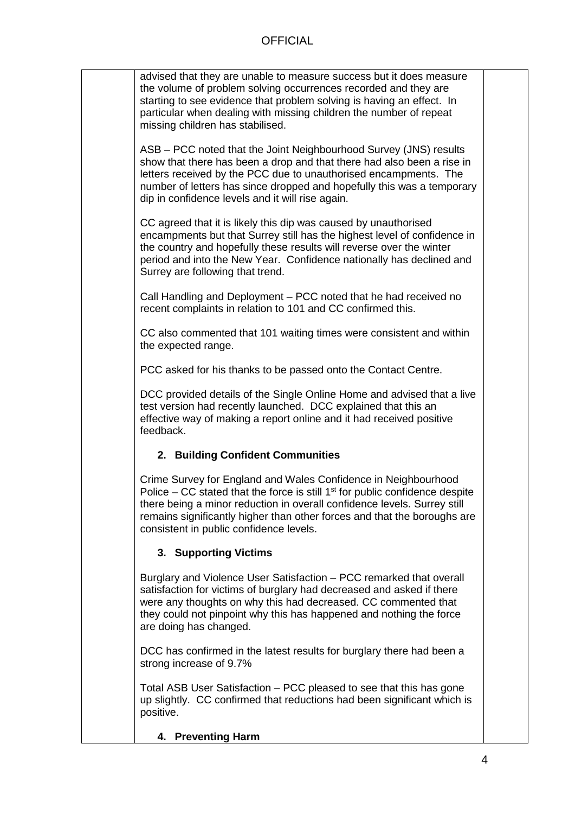| advised that they are unable to measure success but it does measure<br>the volume of problem solving occurrences recorded and they are<br>starting to see evidence that problem solving is having an effect. In<br>particular when dealing with missing children the number of repeat<br>missing children has stabilised.                           |  |
|-----------------------------------------------------------------------------------------------------------------------------------------------------------------------------------------------------------------------------------------------------------------------------------------------------------------------------------------------------|--|
| ASB – PCC noted that the Joint Neighbourhood Survey (JNS) results<br>show that there has been a drop and that there had also been a rise in<br>letters received by the PCC due to unauthorised encampments. The<br>number of letters has since dropped and hopefully this was a temporary<br>dip in confidence levels and it will rise again.       |  |
| CC agreed that it is likely this dip was caused by unauthorised<br>encampments but that Surrey still has the highest level of confidence in<br>the country and hopefully these results will reverse over the winter<br>period and into the New Year. Confidence nationally has declined and<br>Surrey are following that trend.                     |  |
| Call Handling and Deployment - PCC noted that he had received no<br>recent complaints in relation to 101 and CC confirmed this.                                                                                                                                                                                                                     |  |
| CC also commented that 101 waiting times were consistent and within<br>the expected range.                                                                                                                                                                                                                                                          |  |
| PCC asked for his thanks to be passed onto the Contact Centre.                                                                                                                                                                                                                                                                                      |  |
| DCC provided details of the Single Online Home and advised that a live<br>test version had recently launched. DCC explained that this an<br>effective way of making a report online and it had received positive<br>feedback.                                                                                                                       |  |
| 2. Building Confident Communities                                                                                                                                                                                                                                                                                                                   |  |
| Crime Survey for England and Wales Confidence in Neighbourhood<br>Police – CC stated that the force is still $1st$ for public confidence despite<br>there being a minor reduction in overall confidence levels. Surrey still<br>remains significantly higher than other forces and that the boroughs are<br>consistent in public confidence levels. |  |
| 3. Supporting Victims                                                                                                                                                                                                                                                                                                                               |  |
| Burglary and Violence User Satisfaction - PCC remarked that overall<br>satisfaction for victims of burglary had decreased and asked if there<br>were any thoughts on why this had decreased. CC commented that<br>they could not pinpoint why this has happened and nothing the force<br>are doing has changed.                                     |  |
| DCC has confirmed in the latest results for burglary there had been a<br>strong increase of 9.7%                                                                                                                                                                                                                                                    |  |
| Total ASB User Satisfaction – PCC pleased to see that this has gone<br>up slightly. CC confirmed that reductions had been significant which is<br>positive.                                                                                                                                                                                         |  |

**4. Preventing Harm**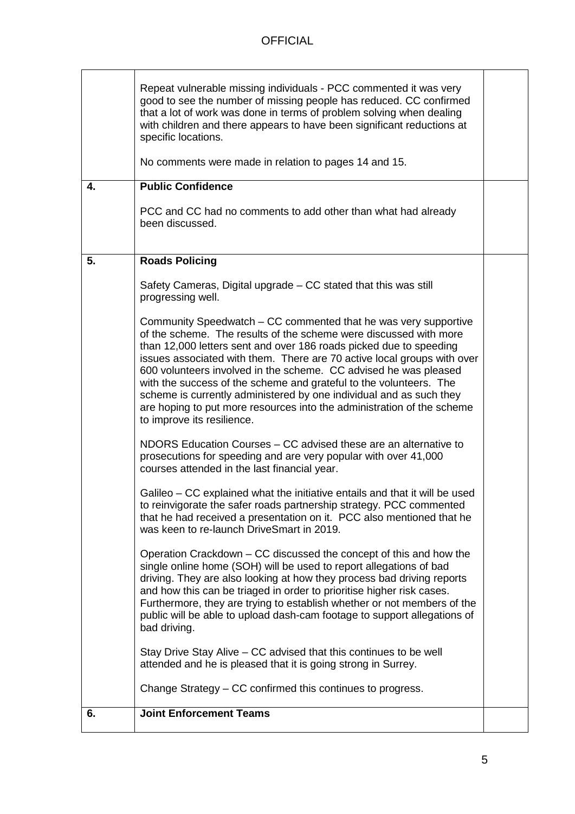| 4. | Repeat vulnerable missing individuals - PCC commented it was very<br>good to see the number of missing people has reduced. CC confirmed<br>that a lot of work was done in terms of problem solving when dealing<br>with children and there appears to have been significant reductions at<br>specific locations.<br>No comments were made in relation to pages 14 and 15.<br><b>Public Confidence</b><br>PCC and CC had no comments to add other than what had already<br>been discussed.                                                                                                                      |  |
|----|----------------------------------------------------------------------------------------------------------------------------------------------------------------------------------------------------------------------------------------------------------------------------------------------------------------------------------------------------------------------------------------------------------------------------------------------------------------------------------------------------------------------------------------------------------------------------------------------------------------|--|
|    |                                                                                                                                                                                                                                                                                                                                                                                                                                                                                                                                                                                                                |  |
| 5. | <b>Roads Policing</b>                                                                                                                                                                                                                                                                                                                                                                                                                                                                                                                                                                                          |  |
|    | Safety Cameras, Digital upgrade – CC stated that this was still<br>progressing well.                                                                                                                                                                                                                                                                                                                                                                                                                                                                                                                           |  |
|    | Community Speedwatch – CC commented that he was very supportive<br>of the scheme. The results of the scheme were discussed with more<br>than 12,000 letters sent and over 186 roads picked due to speeding<br>issues associated with them. There are 70 active local groups with over<br>600 volunteers involved in the scheme. CC advised he was pleased<br>with the success of the scheme and grateful to the volunteers. The<br>scheme is currently administered by one individual and as such they<br>are hoping to put more resources into the administration of the scheme<br>to improve its resilience. |  |
|    | NDORS Education Courses - CC advised these are an alternative to<br>prosecutions for speeding and are very popular with over 41,000<br>courses attended in the last financial year.                                                                                                                                                                                                                                                                                                                                                                                                                            |  |
|    | Galileo – CC explained what the initiative entails and that it will be used<br>to reinvigorate the safer roads partnership strategy. PCC commented<br>that he had received a presentation on it. PCC also mentioned that he<br>was keen to re-launch DriveSmart in 2019.                                                                                                                                                                                                                                                                                                                                       |  |
|    | Operation Crackdown – CC discussed the concept of this and how the<br>single online home (SOH) will be used to report allegations of bad<br>driving. They are also looking at how they process bad driving reports<br>and how this can be triaged in order to prioritise higher risk cases.<br>Furthermore, they are trying to establish whether or not members of the<br>public will be able to upload dash-cam footage to support allegations of<br>bad driving.                                                                                                                                             |  |
|    | Stay Drive Stay Alive – CC advised that this continues to be well<br>attended and he is pleased that it is going strong in Surrey.                                                                                                                                                                                                                                                                                                                                                                                                                                                                             |  |
|    | Change Strategy – CC confirmed this continues to progress.                                                                                                                                                                                                                                                                                                                                                                                                                                                                                                                                                     |  |
| 6. | <b>Joint Enforcement Teams</b>                                                                                                                                                                                                                                                                                                                                                                                                                                                                                                                                                                                 |  |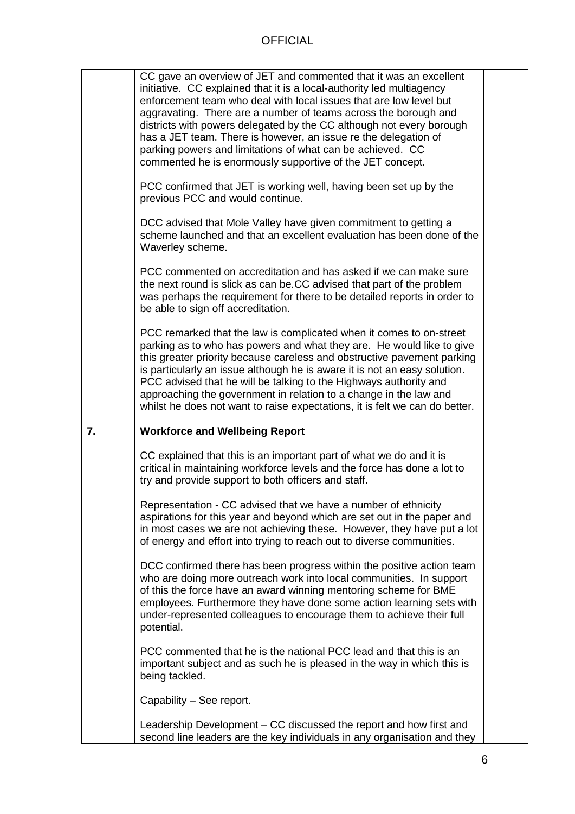|    | CC gave an overview of JET and commented that it was an excellent<br>initiative. CC explained that it is a local-authority led multiagency<br>enforcement team who deal with local issues that are low level but<br>aggravating. There are a number of teams across the borough and<br>districts with powers delegated by the CC although not every borough<br>has a JET team. There is however, an issue re the delegation of<br>parking powers and limitations of what can be achieved. CC<br>commented he is enormously supportive of the JET concept.<br>PCC confirmed that JET is working well, having been set up by the<br>previous PCC and would continue.<br>DCC advised that Mole Valley have given commitment to getting a<br>scheme launched and that an excellent evaluation has been done of the<br>Waverley scheme.<br>PCC commented on accreditation and has asked if we can make sure<br>the next round is slick as can be.CC advised that part of the problem<br>was perhaps the requirement for there to be detailed reports in order to<br>be able to sign off accreditation.<br>PCC remarked that the law is complicated when it comes to on-street<br>parking as to who has powers and what they are. He would like to give<br>this greater priority because careless and obstructive pavement parking<br>is particularly an issue although he is aware it is not an easy solution.<br>PCC advised that he will be talking to the Highways authority and<br>approaching the government in relation to a change in the law and |  |
|----|-----------------------------------------------------------------------------------------------------------------------------------------------------------------------------------------------------------------------------------------------------------------------------------------------------------------------------------------------------------------------------------------------------------------------------------------------------------------------------------------------------------------------------------------------------------------------------------------------------------------------------------------------------------------------------------------------------------------------------------------------------------------------------------------------------------------------------------------------------------------------------------------------------------------------------------------------------------------------------------------------------------------------------------------------------------------------------------------------------------------------------------------------------------------------------------------------------------------------------------------------------------------------------------------------------------------------------------------------------------------------------------------------------------------------------------------------------------------------------------------------------------------------------------------------------|--|
|    | whilst he does not want to raise expectations, it is felt we can do better.                                                                                                                                                                                                                                                                                                                                                                                                                                                                                                                                                                                                                                                                                                                                                                                                                                                                                                                                                                                                                                                                                                                                                                                                                                                                                                                                                                                                                                                                         |  |
| 7. | <b>Workforce and Wellbeing Report</b>                                                                                                                                                                                                                                                                                                                                                                                                                                                                                                                                                                                                                                                                                                                                                                                                                                                                                                                                                                                                                                                                                                                                                                                                                                                                                                                                                                                                                                                                                                               |  |
|    | CC explained that this is an important part of what we do and it is<br>critical in maintaining workforce levels and the force has done a lot to<br>try and provide support to both officers and staff.                                                                                                                                                                                                                                                                                                                                                                                                                                                                                                                                                                                                                                                                                                                                                                                                                                                                                                                                                                                                                                                                                                                                                                                                                                                                                                                                              |  |
|    | Representation - CC advised that we have a number of ethnicity<br>aspirations for this year and beyond which are set out in the paper and<br>in most cases we are not achieving these. However, they have put a lot<br>of energy and effort into trying to reach out to diverse communities.                                                                                                                                                                                                                                                                                                                                                                                                                                                                                                                                                                                                                                                                                                                                                                                                                                                                                                                                                                                                                                                                                                                                                                                                                                                        |  |
|    | DCC confirmed there has been progress within the positive action team<br>who are doing more outreach work into local communities. In support<br>of this the force have an award winning mentoring scheme for BME<br>employees. Furthermore they have done some action learning sets with<br>under-represented colleagues to encourage them to achieve their full<br>potential.                                                                                                                                                                                                                                                                                                                                                                                                                                                                                                                                                                                                                                                                                                                                                                                                                                                                                                                                                                                                                                                                                                                                                                      |  |
|    | PCC commented that he is the national PCC lead and that this is an<br>important subject and as such he is pleased in the way in which this is<br>being tackled.                                                                                                                                                                                                                                                                                                                                                                                                                                                                                                                                                                                                                                                                                                                                                                                                                                                                                                                                                                                                                                                                                                                                                                                                                                                                                                                                                                                     |  |
|    | Capability - See report.                                                                                                                                                                                                                                                                                                                                                                                                                                                                                                                                                                                                                                                                                                                                                                                                                                                                                                                                                                                                                                                                                                                                                                                                                                                                                                                                                                                                                                                                                                                            |  |
|    | Leadership Development – CC discussed the report and how first and<br>second line leaders are the key individuals in any organisation and they                                                                                                                                                                                                                                                                                                                                                                                                                                                                                                                                                                                                                                                                                                                                                                                                                                                                                                                                                                                                                                                                                                                                                                                                                                                                                                                                                                                                      |  |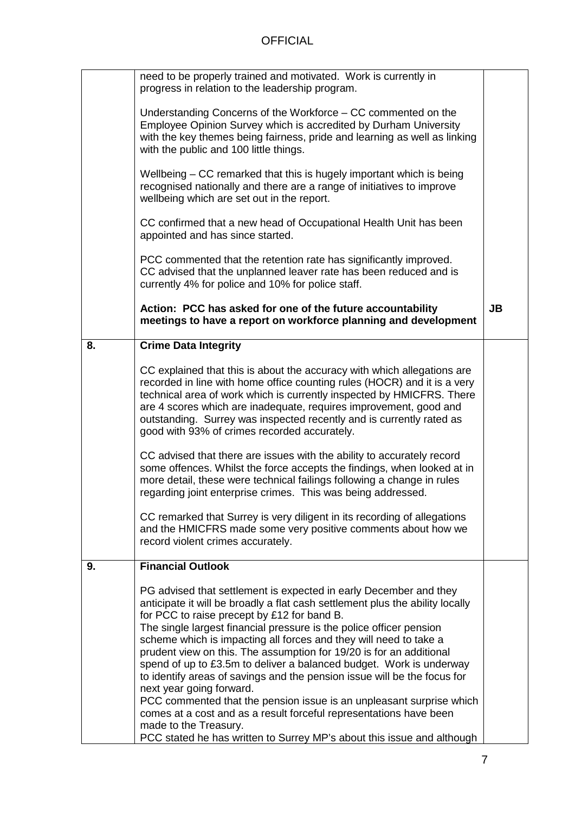|    | need to be properly trained and motivated. Work is currently in<br>progress in relation to the leadership program.                                                                                                                                                                                                                                                                                                                                                                                                                                                                                                                                                                                                                                |           |
|----|---------------------------------------------------------------------------------------------------------------------------------------------------------------------------------------------------------------------------------------------------------------------------------------------------------------------------------------------------------------------------------------------------------------------------------------------------------------------------------------------------------------------------------------------------------------------------------------------------------------------------------------------------------------------------------------------------------------------------------------------------|-----------|
|    | Understanding Concerns of the Workforce – CC commented on the<br>Employee Opinion Survey which is accredited by Durham University<br>with the key themes being fairness, pride and learning as well as linking<br>with the public and 100 little things.                                                                                                                                                                                                                                                                                                                                                                                                                                                                                          |           |
|    | Wellbeing – CC remarked that this is hugely important which is being<br>recognised nationally and there are a range of initiatives to improve<br>wellbeing which are set out in the report.                                                                                                                                                                                                                                                                                                                                                                                                                                                                                                                                                       |           |
|    | CC confirmed that a new head of Occupational Health Unit has been<br>appointed and has since started.                                                                                                                                                                                                                                                                                                                                                                                                                                                                                                                                                                                                                                             |           |
|    | PCC commented that the retention rate has significantly improved.<br>CC advised that the unplanned leaver rate has been reduced and is<br>currently 4% for police and 10% for police staff.                                                                                                                                                                                                                                                                                                                                                                                                                                                                                                                                                       |           |
|    | Action: PCC has asked for one of the future accountability<br>meetings to have a report on workforce planning and development                                                                                                                                                                                                                                                                                                                                                                                                                                                                                                                                                                                                                     | <b>JB</b> |
| 8. | <b>Crime Data Integrity</b>                                                                                                                                                                                                                                                                                                                                                                                                                                                                                                                                                                                                                                                                                                                       |           |
|    | CC explained that this is about the accuracy with which allegations are<br>recorded in line with home office counting rules (HOCR) and it is a very<br>technical area of work which is currently inspected by HMICFRS. There<br>are 4 scores which are inadequate, requires improvement, good and<br>outstanding. Surrey was inspected recently and is currently rated as<br>good with 93% of crimes recorded accurately.                                                                                                                                                                                                                                                                                                                         |           |
|    | CC advised that there are issues with the ability to accurately record<br>some offences. Whilst the force accepts the findings, when looked at in<br>more detail, these were technical failings following a change in rules<br>regarding joint enterprise crimes. This was being addressed.                                                                                                                                                                                                                                                                                                                                                                                                                                                       |           |
|    | CC remarked that Surrey is very diligent in its recording of allegations<br>and the HMICFRS made some very positive comments about how we<br>record violent crimes accurately.                                                                                                                                                                                                                                                                                                                                                                                                                                                                                                                                                                    |           |
| 9. | <b>Financial Outlook</b>                                                                                                                                                                                                                                                                                                                                                                                                                                                                                                                                                                                                                                                                                                                          |           |
|    | PG advised that settlement is expected in early December and they<br>anticipate it will be broadly a flat cash settlement plus the ability locally<br>for PCC to raise precept by £12 for band B.<br>The single largest financial pressure is the police officer pension<br>scheme which is impacting all forces and they will need to take a<br>prudent view on this. The assumption for 19/20 is for an additional<br>spend of up to £3.5m to deliver a balanced budget. Work is underway<br>to identify areas of savings and the pension issue will be the focus for<br>next year going forward.<br>PCC commented that the pension issue is an unpleasant surprise which<br>comes at a cost and as a result forceful representations have been |           |
|    | made to the Treasury.<br>PCC stated he has written to Surrey MP's about this issue and although                                                                                                                                                                                                                                                                                                                                                                                                                                                                                                                                                                                                                                                   |           |